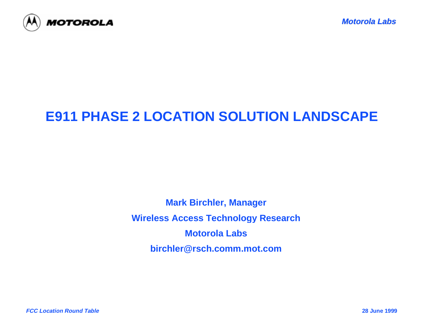

# **E911 PHASE 2 LOCATION SOLUTION LANDSCAPE**

**Mark Birchler, Manager Wireless Access Technology Research Motorola Labsbirchler@rsch.comm.mot.com**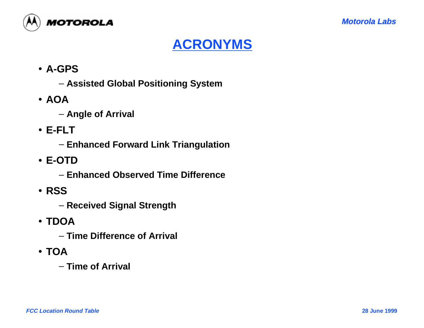

### **ACRONYMS**

- **A-GPS**
	- **Assisted Global Positioning System**
- **AOA**
	- **Angle of Arrival**
- **E-FLT**
	- **Enhanced Forward Link Triangulation**
- **E-OTD**
	- **Enhanced Observed Time Difference**
- **RSS**
	- **Received Signal Strength**
- **TDOA**
	- **Time Difference of Arrival**
- **TOA**
	- **Time of Arrival**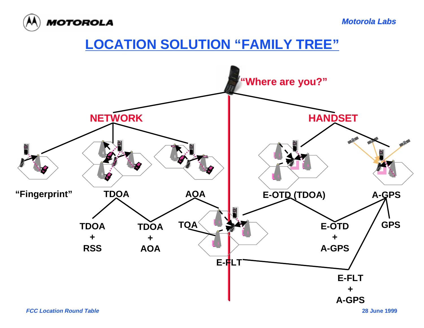

**Motorola Labs**

### **LOCATION SOLUTION "FAMILY TREE"**

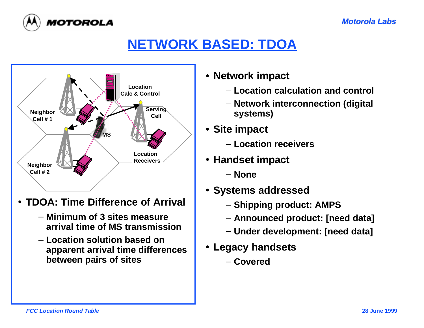

### **NETWORK BASED: TDOA**



- **TDOA: Time Difference of Arrival**
	- **Minimum of 3 sites measurearrival time of MS transmission**
	- **Location solution based onapparent arrival time differences between pairs of sites**
- **Network impact**
	- **Location calculation and control**
	- **Network interconnection (digital systems)**
- **Site impact**
	- **Location receivers**
- **Handset impact**
	- **None**
- **Systems addressed**
	- **Shipping product: AMPS**
	- **Announced product: [need data]**
	- **Under development: [need data]**
- **Legacy handsets**
	- **Covered**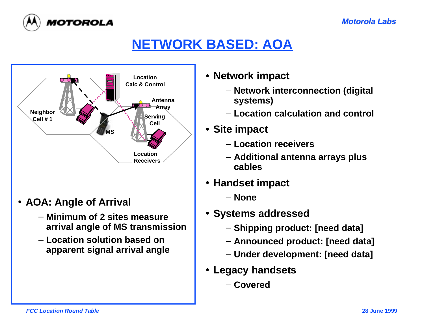



# **NETWORK BASED: AOA**



- **AOA: Angle of Arrival**
	- **Minimum of 2 sites measurearrival angle of MS transmission**
	- **Location solution based onapparent signal arrival angle**
- **Network impact**
	- **Network interconnection (digital systems)**
	- **Location calculation and control**
- **Site impact**
	- **Location receivers**
	- **Additional antenna arrays plus cables**
- **Handset impact**
	- **None**
- **Systems addressed**
	- **Shipping product: [need data]**
	- **Announced product: [need data]**
	- **Under development: [need data]**
- **Legacy handsets**
	- **Covered**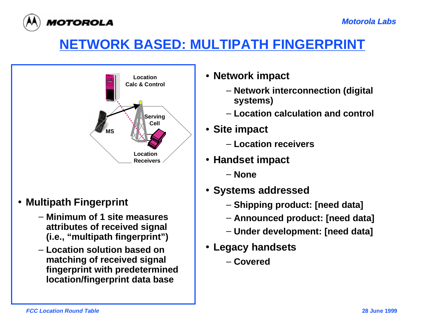

## **NETWORK BASED: MULTIPATH FINGERPRINT**



#### • **Multipath Fingerprint**

- **Minimum of 1 site measuresattributes of received signal (i.e., "multipath fingerprint")**
- **Location solution based onmatching of received signal fingerprint with predetermined location/fingerprint data base**
- **Network impact**
	- **Network interconnection (digital systems)**
	- **Location calculation and control**
- **Site impact**
	- **Location receivers**
- **Handset impact**
	- **None**
- **Systems addressed**
	- **Shipping product: [need data]**
	- **Announced product: [need data]**
	- **Under development: [need data]**
- **Legacy handsets**
	- **Covered**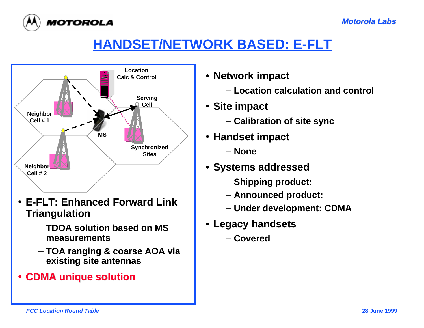

## **HANDSET/NETWORK BASED: E-FLT**



- **E-FLT: Enhanced Forward LinkTriangulation**
	- **TDOA solution based on MSmeasurements**
	- **TOA ranging & coarse AOA via existing site antennas**
- **CDMA unique solution CDMA unique solution**
- **Network impact**
	- **Location calculation and control**
- **Site impact**
	- **Calibration of site sync**
- **Handset impact**
	- **None**
- **Systems addressed**
	- **Shipping product:**
	- **Announced product:**
	- **Under development: CDMA**
- **Legacy handsets**
	- **Covered**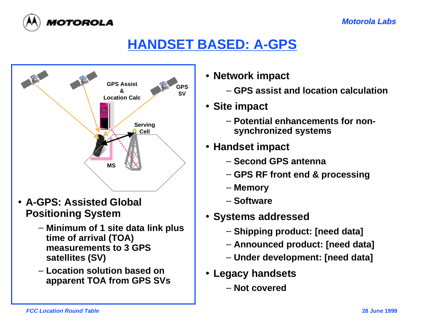

### **HANDSET BASED: A-GPS**



- **A-GPS: Assisted Global Positioning System**
	- **Minimum of 1 site data link plus time of arrival (TOA) measurements to 3 GPSsatellites (SV)**
	- **Location solution based onapparent TOA from GPS SVs**
- **Network impact**
	- **GPS assist and location calculation**
- **Site impact**
	- **Potential enhancements for nonsynchronized systems**
- **Handset impact**
	- **Second GPS antenna**
	- **GPS RF front end & processing**
	- **Memory**
	- **Software**
- **Systems addressed**
	- **Shipping product: [need data]**
	- **Announced product: [need data]**
	- **Under development: [need data]**
- **Legacy handsets**
	- **Not covered**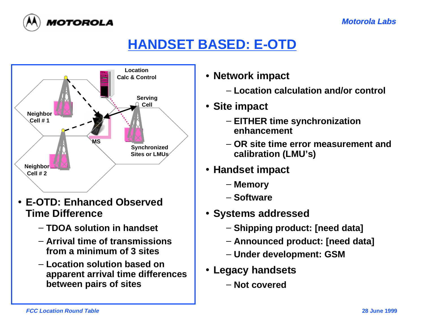

### **HANDSET BASED: E-OTD**



- **E-OTD: Enhanced ObservedTime Difference**
	- **TDOA solution in handset**
	- **Arrival time of transmissionsfrom a minimum of 3 sites**
	- **Location solution based onapparent arrival time differences between pairs of sites**
- **Network impact**
	- **Location calculation and/or control**
- **Site impact**
	- **EITHER time synchronization enhancement**
	- **OR site time error measurement andcalibration (LMU's)**
- **Handset impact**
	- **Memory**
	- **Software**
- **Systems addressed**
	- **Shipping product: [need data]**
	- **Announced product: [need data]**
	- **Under development: GSM**
- **Legacy handsets**
	- **Not covered**